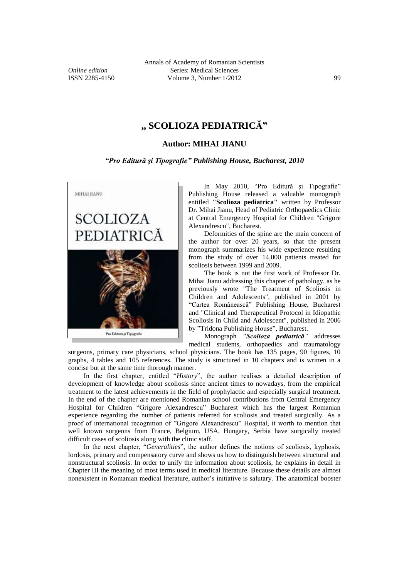## **,, SCOLIOZA PEDIATRICĂ"**

## **Author: MIHAI JIANU**

## *"Pro Editură şi Tipografie" Publishing House, Bucharest, 2010*



In May 2010, "Pro Editură şi Tipografie" Publishing House released a valuable monograph entitled **"Scolioza pediatrica"** written by Professor Dr. Mihai Jianu, Head of Pediatric Orthopaedics Clinic at Central Emergency Hospital for Children "Grigore Alexandrescu", Bucharest.

Deformities of the spine are the main concern of the author for over 20 years, so that the present monograph summarizes his wide experience resulting from the study of over 14,000 patients treated for scoliosis between 1999 and 2009.

The book is not the first work of Professor Dr. Mihai Jianu addressing this chapter of pathology, as he previously wrote "The Treatment of Scoliosis in Children and Adolescents", published in 2001 by "Cartea Românească" Publishing House, Bucharest and "Clinical and Therapeutical Protocol in Idiopathic Scoliosis in Child and Adolescent", published in 2006 by "Tridona Publishing House", Bucharest.

Monograph *"Scolioza pediatrică"* addresses medical students, orthopaedics and traumatology

surgeons, primary care physicians, school physicians. The book has 135 pages, 90 figures, 10 graphs, 4 tables and 105 references. The study is structured in 10 chapters and is written in a concise but at the same time thorough manner.

In the first chapter, entitled "*History*", the author realises a detailed description of development of knowledge about scoliosis since ancient times to nowadays, from the empirical treatment to the latest achievements in the field of prophylactic and especially surgical treatment. In the end of the chapter are mentioned Romanian school contributions from Central Emergency Hospital for Children "Grigore Alexandrescu" Bucharest which has the largest Romanian experience regarding the number of patients referred for scoliosis and treated surgically. As a proof of international recognition of "Grigore Alexandrescu" Hospital, it worth to mention that well known surgeons from France, Belgium, USA, Hungary, Serbia have surgically treated difficult cases of scoliosis along with the clinic staff.

In the next chapter, "*Generalities*", the author defines the notions of scoliosis, kyphosis, lordosis, primary and compensatory curve and shows us how to distinguish between structural and nonstructural scoliosis. In order to unify the information about scoliosis, he explains in detail in Chapter III the meaning of most terms used in medical literature. Because these details are almost nonexistent in Romanian medical literature, author's initiative is salutary. The anatomical booster